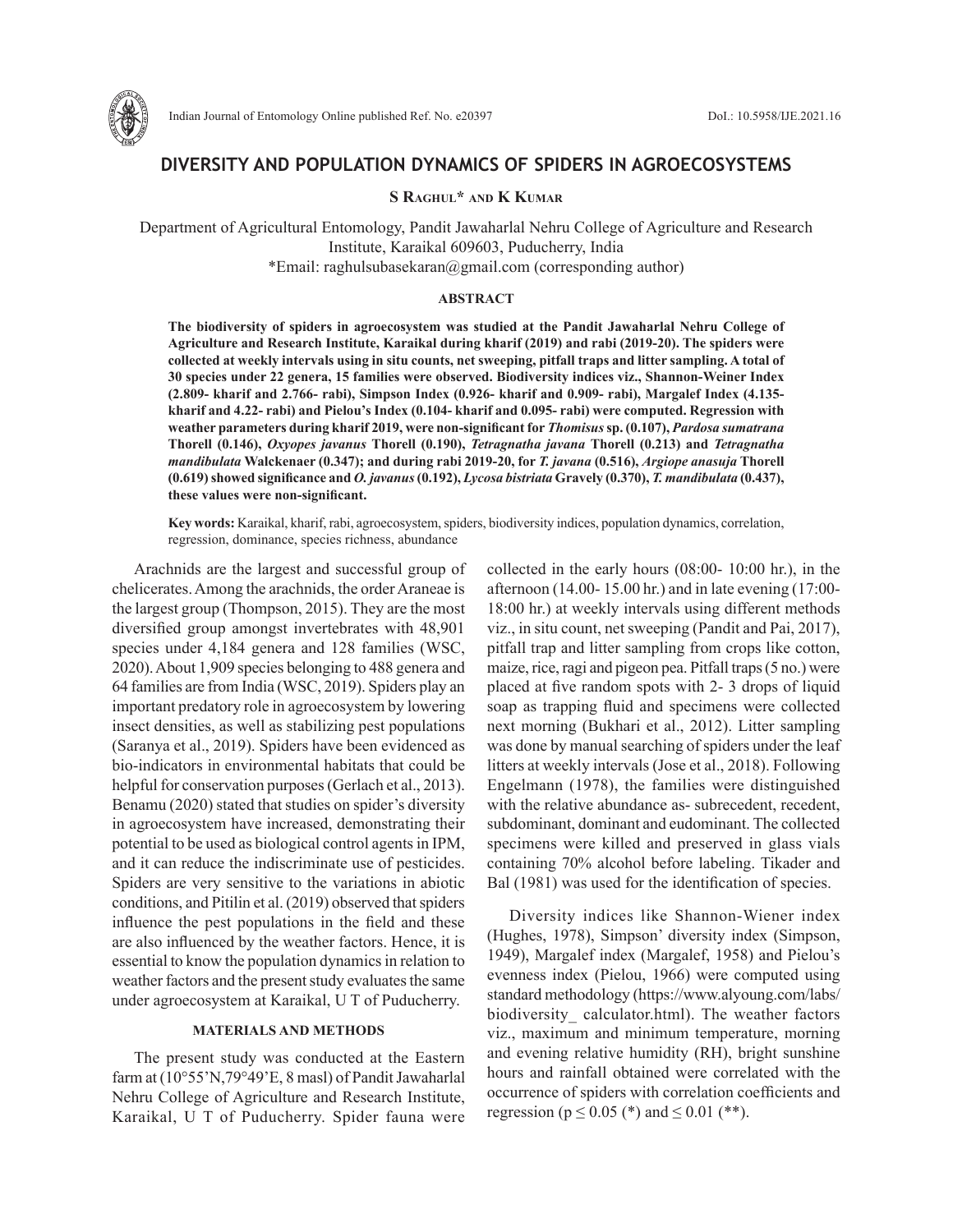

# **DIVERSITY AND POPULATION DYNAMICS OF SPIDERS IN AGROECOSYSTEMS**

## **S Raghul\* and K Kumar**

Department of Agricultural Entomology, Pandit Jawaharlal Nehru College of Agriculture and Research Institute, Karaikal 609603, Puducherry, India \*Email: raghulsubasekaran@gmail.com (corresponding author)

#### **ABSTRACT**

**The biodiversity of spiders in agroecosystem was studied at the Pandit Jawaharlal Nehru College of Agriculture and Research Institute, Karaikal during kharif (2019) and rabi (2019-20). The spiders were collected at weekly intervals using in situ counts, net sweeping, pitfall traps and litter sampling. A total of 30 species under 22 genera, 15 families were observed. Biodiversity indices viz., Shannon-Weiner Index (2.809- kharif and 2.766- rabi), Simpson Index (0.926- kharif and 0.909- rabi), Margalef Index (4.135 kharif and 4.22- rabi) and Pielou's Index (0.104- kharif and 0.095- rabi) were computed. Regression with weather parameters during kharif 2019, were non-significant for** *Thomisus***sp. (0.107),** *Pardosa sumatrana* **Thorell (0.146),** *Oxyopes javanus* **Thorell (0.190),** *Tetragnatha javana* **Thorell (0.213) and** *Tetragnatha mandibulata* **Walckenaer (0.347); and during rabi 2019-20, for** *T. javana* **(0.516),** *Argiope anasuja* **Thorell (0.619) showed significance and** *O. javanus***(0.192),** *Lycosa bistriata* **Gravely (0.370),** *T. mandibulata* **(0.437), these values were non-significant.** 

**Key words:** Karaikal, kharif, rabi, agroecosystem, spiders, biodiversity indices, population dynamics, correlation, regression, dominance, species richness, abundance

Arachnids are the largest and successful group of chelicerates. Among the arachnids, the order Araneae is the largest group (Thompson, 2015). They are the most diversified group amongst invertebrates with 48,901 species under 4,184 genera and 128 families (WSC, 2020). About 1,909 species belonging to 488 genera and 64 families are from India (WSC, 2019). Spiders play an important predatory role in agroecosystem by lowering insect densities, as well as stabilizing pest populations (Saranya et al., 2019). Spiders have been evidenced as bio-indicators in environmental habitats that could be helpful for conservation purposes (Gerlach et al., 2013). Benamu (2020) stated that studies on spider's diversity in agroecosystem have increased, demonstrating their potential to be used as biological control agents in IPM, and it can reduce the indiscriminate use of pesticides. Spiders are very sensitive to the variations in abiotic conditions, and Pitilin et al. (2019) observed that spiders influence the pest populations in the field and these are also influenced by the weather factors. Hence, it is essential to know the population dynamics in relation to weather factors and the present study evaluates the same under agroecosystem at Karaikal, U T of Puducherry.

## **MATERIALS AND METHODS**

The present study was conducted at the Eastern farm at (10°55'N,79°49'E, 8 masl) of Pandit Jawaharlal Nehru College of Agriculture and Research Institute, Karaikal, U T of Puducherry. Spider fauna were

collected in the early hours (08:00- 10:00 hr.), in the afternoon (14.00- 15.00 hr.) and in late evening (17:00- 18:00 hr.) at weekly intervals using different methods viz., in situ count, net sweeping (Pandit and Pai, 2017), pitfall trap and litter sampling from crops like cotton, maize, rice, ragi and pigeon pea. Pitfall traps (5 no.) were placed at five random spots with 2- 3 drops of liquid soap as trapping fluid and specimens were collected next morning (Bukhari et al., 2012). Litter sampling was done by manual searching of spiders under the leaf litters at weekly intervals (Jose et al., 2018). Following Engelmann (1978), the families were distinguished with the relative abundance as- subrecedent, recedent, subdominant, dominant and eudominant. The collected specimens were killed and preserved in glass vials containing 70% alcohol before labeling. Tikader and Bal (1981) was used for the identification of species.

Diversity indices like Shannon-Wiener index (Hughes, 1978), Simpson' diversity index (Simpson, 1949), Margalef index (Margalef, 1958) and Pielou's evenness index (Pielou, 1966) were computed using standard methodology (https://www.alyoung.com/labs/ biodiversity calculator.html). The weather factors viz., maximum and minimum temperature, morning and evening relative humidity (RH), bright sunshine hours and rainfall obtained were correlated with the occurrence of spiders with correlation coefficients and regression ( $p \le 0.05$  (\*) and  $\le 0.01$  (\*\*).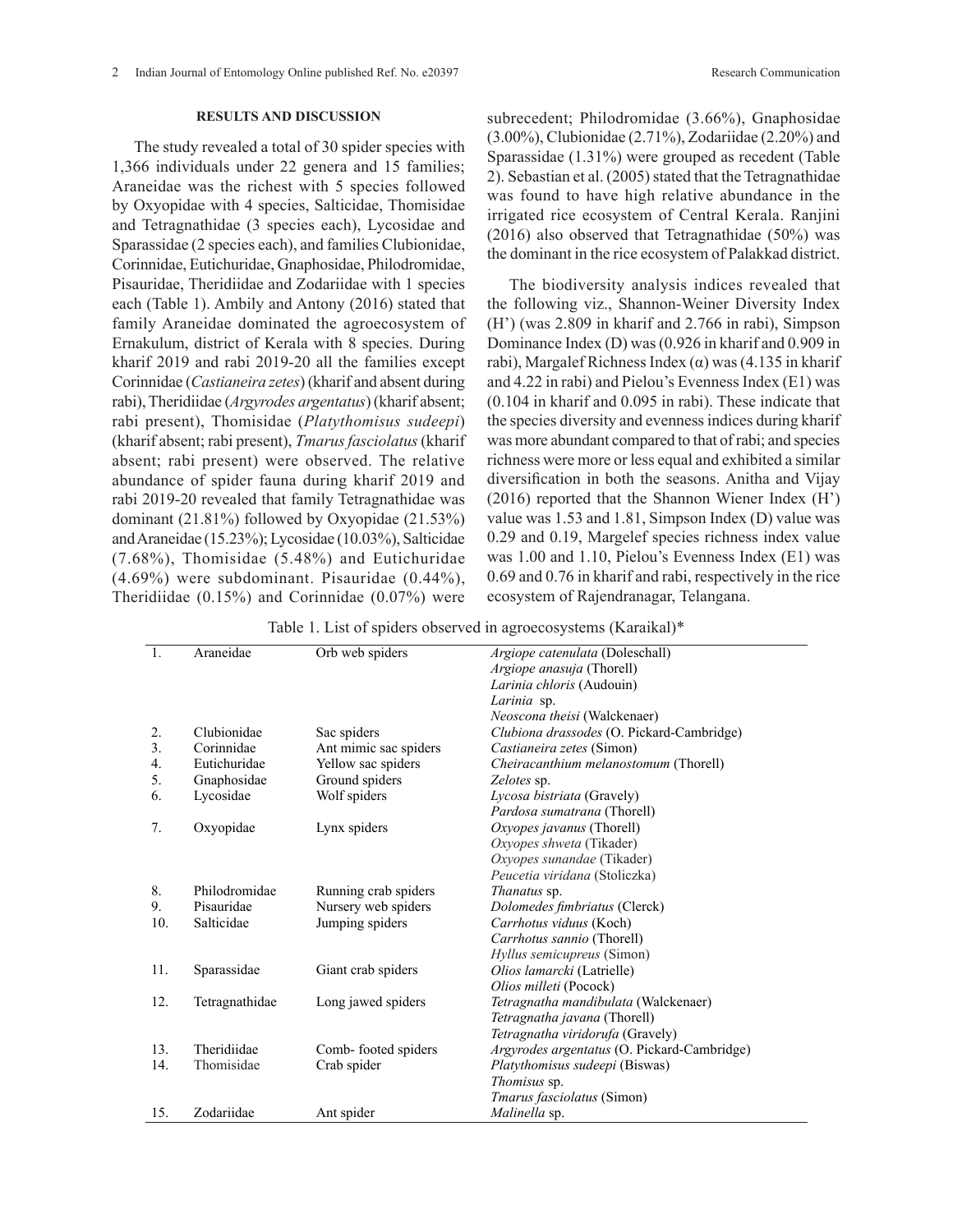The study revealed a total of 30 spider species with 1,366 individuals under 22 genera and 15 families; Araneidae was the richest with 5 species followed by Oxyopidae with 4 species, Salticidae, Thomisidae and Tetragnathidae (3 species each), Lycosidae and Sparassidae (2 species each), and families Clubionidae, Corinnidae, Eutichuridae, Gnaphosidae, Philodromidae, Pisauridae, Theridiidae and Zodariidae with 1 species each (Table 1). Ambily and Antony (2016) stated that family Araneidae dominated the agroecosystem of Ernakulum, district of Kerala with 8 species. During kharif 2019 and rabi 2019-20 all the families except Corinnidae (*Castianeira zetes*) (kharif and absent during rabi), Theridiidae (*Argyrodes argentatus*) (kharif absent; rabi present), Thomisidae (*Platythomisus sudeepi*) (kharif absent; rabi present), *Tmarus fasciolatus* (kharif absent; rabi present) were observed. The relative abundance of spider fauna during kharif 2019 and rabi 2019-20 revealed that family Tetragnathidae was dominant (21.81%) followed by Oxyopidae (21.53%) and Araneidae (15.23%); Lycosidae (10.03%), Salticidae (7.68%), Thomisidae (5.48%) and Eutichuridae (4.69%) were subdominant. Pisauridae (0.44%), Theridiidae (0.15%) and Corinnidae (0.07%) were

subrecedent; Philodromidae (3.66%), Gnaphosidae (3.00%), Clubionidae (2.71%), Zodariidae (2.20%) and Sparassidae (1.31%) were grouped as recedent (Table 2). Sebastian et al. (2005) stated that the Tetragnathidae was found to have high relative abundance in the irrigated rice ecosystem of Central Kerala. Ranjini (2016) also observed that Tetragnathidae (50%) was the dominant in the rice ecosystem of Palakkad district.

The biodiversity analysis indices revealed that the following viz., Shannon-Weiner Diversity Index (H') (was 2.809 in kharif and 2.766 in rabi), Simpson Dominance Index (D) was (0.926 in kharif and 0.909 in rabi), Margalef Richness Index (α) was  $(4.135 \text{ in } \text{kharif})$ and 4.22 in rabi) and Pielou's Evenness Index (E1) was (0.104 in kharif and 0.095 in rabi). These indicate that the species diversity and evenness indices during kharif was more abundant compared to that of rabi; and species richness were more or less equal and exhibited a similar diversification in both the seasons. Anitha and Vijay (2016) reported that the Shannon Wiener Index (H') value was 1.53 and 1.81, Simpson Index (D) value was 0.29 and 0.19, Margelef species richness index value was 1.00 and 1.10, Pielou's Evenness Index (E1) was 0.69 and 0.76 in kharif and rabi, respectively in the rice ecosystem of Rajendranagar, Telangana.

Table 1. List of spiders observed in agroecosystems (Karaikal)\*

| $\overline{1}$ . | Araneidae      | Orb web spiders       | Argiope catenulata (Doleschall)             |  |  |
|------------------|----------------|-----------------------|---------------------------------------------|--|--|
|                  |                |                       | Argiope anasuja (Thorell)                   |  |  |
|                  |                |                       | Larinia chloris (Audouin)                   |  |  |
|                  |                |                       | Larinia sp.                                 |  |  |
|                  |                |                       | Neoscona theisi (Walckenaer)                |  |  |
| 2.               | Clubionidae    | Sac spiders           | Clubiona drassodes (O. Pickard-Cambridge)   |  |  |
| 3.               | Corinnidae     | Ant mimic sac spiders | Castianeira zetes (Simon)                   |  |  |
| 4.               | Eutichuridae   | Yellow sac spiders    | Cheiracanthium melanostomum (Thorell)       |  |  |
| 5.               | Gnaphosidae    | Ground spiders        | Zelotes sp.                                 |  |  |
| 6.               | Lycosidae      | Wolf spiders          | Lycosa bistriata (Gravely)                  |  |  |
|                  |                |                       | Pardosa sumatrana (Thorell)                 |  |  |
| 7.               | Oxyopidae      | Lynx spiders          | Oxyopes javanus (Thorell)                   |  |  |
|                  |                |                       | Oxyopes shweta (Tikader)                    |  |  |
|                  |                |                       | Oxyopes sunandae (Tikader)                  |  |  |
|                  |                |                       | Peucetia viridana (Stoliczka)               |  |  |
| 8.               | Philodromidae  | Running crab spiders  | Thanatus sp.                                |  |  |
| 9.               | Pisauridae     | Nursery web spiders   | Dolomedes fimbriatus (Clerck)               |  |  |
| 10.              | Salticidae     | Jumping spiders       | Carrhotus viduus (Koch)                     |  |  |
|                  |                |                       | Carrhotus sannio (Thorell)                  |  |  |
|                  |                |                       | <i>Hyllus semicupreus</i> (Simon)           |  |  |
| 11.              | Sparassidae    | Giant crab spiders    | Olios lamarcki (Latrielle)                  |  |  |
|                  |                |                       | Olios milleti (Pocock)                      |  |  |
| 12.              | Tetragnathidae | Long jawed spiders    | Tetragnatha mandibulata (Walckenaer)        |  |  |
|                  |                |                       | Tetragnatha javana (Thorell)                |  |  |
|                  |                |                       | Tetragnatha viridorufa (Gravely)            |  |  |
| 13.              | Theridiidae    | Comb-footed spiders   | Argyrodes argentatus (O. Pickard-Cambridge) |  |  |
| 14.              | Thomisidae     | Crab spider           | Platythomisus sudeepi (Biswas)              |  |  |
|                  |                |                       | Thomisus sp.                                |  |  |
|                  |                |                       | <i>Tmarus fasciolatus</i> (Simon)           |  |  |
| 15.              | Zodariidae     | Ant spider            | Malinella sp.                               |  |  |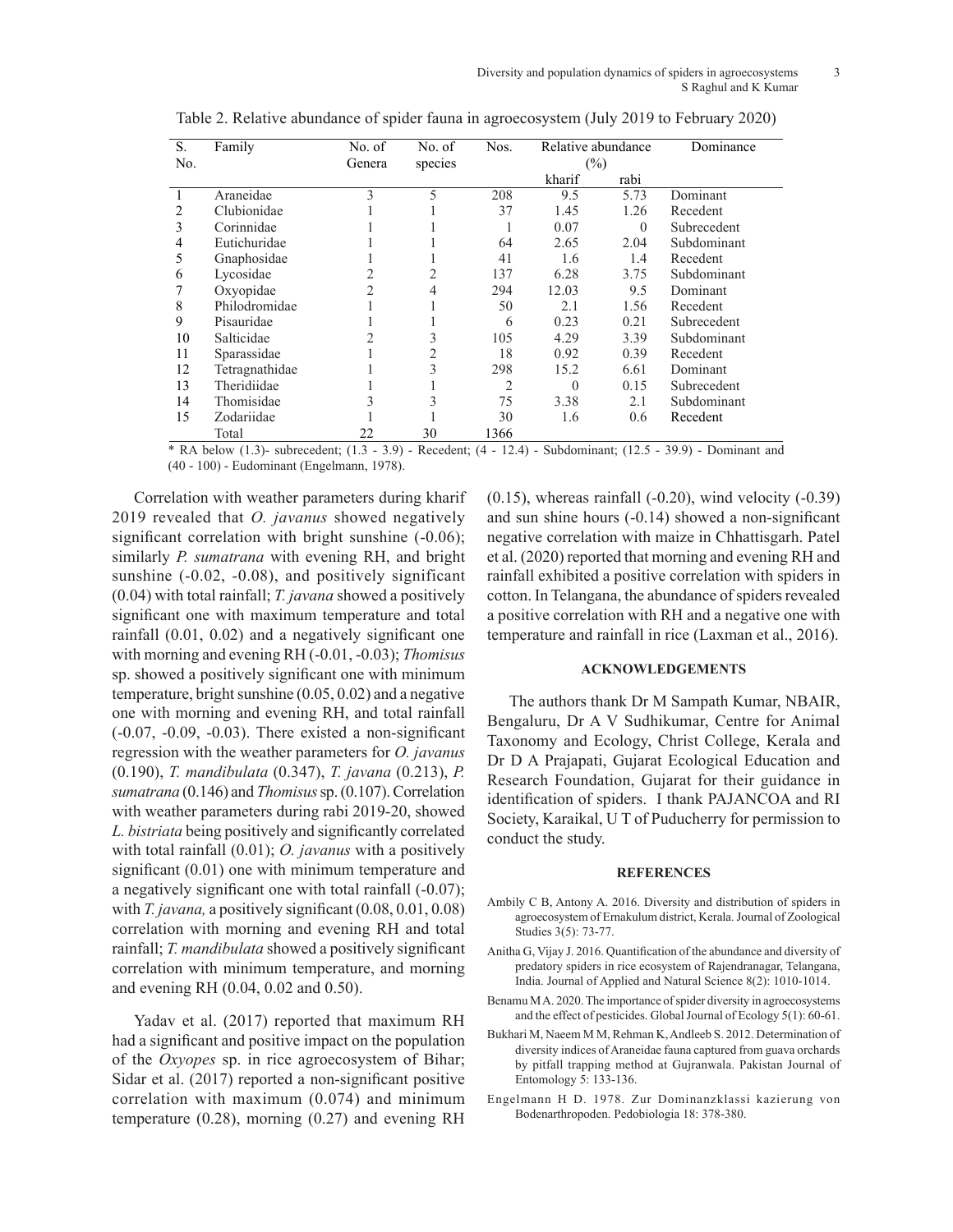| S.  | Family         | No. of | No. of  | Nos.           | Relative abundance |          | Dominance   |
|-----|----------------|--------|---------|----------------|--------------------|----------|-------------|
| No. |                | Genera | species |                | (%)                |          |             |
|     |                |        |         |                | kharif             | rabi     |             |
|     | Araneidae      | 3      | 5       | 208            | 9.5                | 5.73     | Dominant    |
| 2   | Clubionidae    |        |         | 37             | 1.45               | 1.26     | Recedent    |
| 3   | Corinnidae     |        |         |                | 0.07               | $\Omega$ | Subrecedent |
| 4   | Eutichuridae   |        |         | 64             | 2.65               | 2.04     | Subdominant |
| 5   | Gnaphosidae    |        |         | 41             | 1.6                | 1.4      | Recedent    |
| 6   | Lycosidae      |        | 2       | 137            | 6.28               | 3.75     | Subdominant |
|     | Oxyopidae      | 2      | 4       | 294            | 12.03              | 9.5      | Dominant    |
| 8   | Philodromidae  |        |         | 50             | 2.1                | 1.56     | Recedent    |
| 9   | Pisauridae     |        |         | 6              | 0.23               | 0.21     | Subrecedent |
| 10  | Salticidae     |        | 3       | 105            | 4.29               | 3.39     | Subdominant |
| 11  | Sparassidae    |        | 2       | 18             | 0.92               | 0.39     | Recedent    |
| 12  | Tetragnathidae |        | 3       | 298            | 15.2               | 6.61     | Dominant    |
| 13  | Theridiidae    |        |         | $\overline{c}$ | $\Omega$           | 0.15     | Subrecedent |
| 14  | Thomisidae     | 3      | 3       | 75             | 3.38               | 2.1      | Subdominant |
| 15  | Zodariidae     |        |         | 30             | 1.6                | 0.6      | Recedent    |
|     | Total          | 22     | 30      | 1366           |                    |          |             |

Table 2. Relative abundance of spider fauna in agroecosystem (July 2019 to February 2020)

\* RA below (1.3)- subrecedent; (1.3 - 3.9) - Recedent; (4 - 12.4) - Subdominant; (12.5 - 39.9) - Dominant and (40 - 100) - Eudominant (Engelmann, 1978).

Correlation with weather parameters during kharif 2019 revealed that *O. javanus* showed negatively significant correlation with bright sunshine  $(-0.06)$ ; similarly *P. sumatrana* with evening RH, and bright sunshine (-0.02, -0.08), and positively significant (0.04) with total rainfall; *T. javana* showed a positively significant one with maximum temperature and total rainfall (0.01, 0.02) and a negatively significant one with morning and evening RH (-0.01, -0.03); *Thomisus*  sp. showed a positively significant one with minimum temperature, bright sunshine (0.05, 0.02) and a negative one with morning and evening RH, and total rainfall (-0.07, -0.09, -0.03). There existed a non-significant regression with the weather parameters for *O. javanus* (0.190), *T. mandibulata* (0.347), *T. javana* (0.213), *P. sumatrana* (0.146) and *Thomisus* sp. (0.107). Correlation with weather parameters during rabi 2019-20, showed *L. bistriata* being positively and significantly correlated with total rainfall (0.01); *O. javanus* with a positively significant (0.01) one with minimum temperature and a negatively significant one with total rainfall (-0.07); with *T. javana*, a positively significant (0.08, 0.01, 0.08) correlation with morning and evening RH and total rainfall; *T. mandibulata* showed a positively significant correlation with minimum temperature, and morning and evening RH (0.04, 0.02 and 0.50).

Yadav et al. (2017) reported that maximum RH had a significant and positive impact on the population of the *Oxyopes* sp. in rice agroecosystem of Bihar; Sidar et al. (2017) reported a non-significant positive correlation with maximum (0.074) and minimum temperature (0.28), morning (0.27) and evening RH  $(0.15)$ , whereas rainfall  $(-0.20)$ , wind velocity  $(-0.39)$ and sun shine hours (-0.14) showed a non-significant negative correlation with maize in Chhattisgarh. Patel et al. (2020) reported that morning and evening RH and rainfall exhibited a positive correlation with spiders in cotton. In Telangana, the abundance of spiders revealed a positive correlation with RH and a negative one with temperature and rainfall in rice (Laxman et al., 2016).

## **ACKNOWLEDGEMENTS**

The authors thank Dr M Sampath Kumar, NBAIR, Bengaluru, Dr A V Sudhikumar, Centre for Animal Taxonomy and Ecology, Christ College, Kerala and Dr D A Prajapati, Gujarat Ecological Education and Research Foundation, Gujarat for their guidance in identification of spiders. I thank PAJANCOA and RI Society, Karaikal, U T of Puducherry for permission to conduct the study.

#### **REFERENCES**

- Ambily C B, Antony A. 2016. Diversity and distribution of spiders in agroecosystem of Ernakulum district, Kerala. Journal of Zoological Studies 3(5): 73-77.
- Anitha G, Vijay J. 2016. Quantification of the abundance and diversity of predatory spiders in rice ecosystem of Rajendranagar, Telangana, India. Journal of Applied and Natural Science 8(2): 1010-1014.
- Benamu M A. 2020. The importance of spider diversity in agroecosystems and the effect of pesticides. Global Journal of Ecology 5(1): 60-61.
- Bukhari M, Naeem M M, Rehman K, Andleeb S. 2012. Determination of diversity indices of Araneidae fauna captured from guava orchards by pitfall trapping method at Gujranwala. Pakistan Journal of Entomology 5: 133-136.
- Engelmann H D. 1978. Zur Dominanzklassi kazierung von Bodenarthropoden. Pedobiologia 18: 378-380.